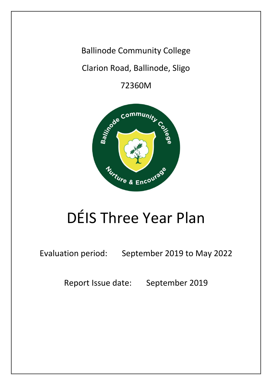Ballinode Community College

Clarion Road, Ballinode, Sligo

72360M



# DÉIS Three Year Plan

Evaluation period: September 2019 to May 2022

Report Issue date: September 2019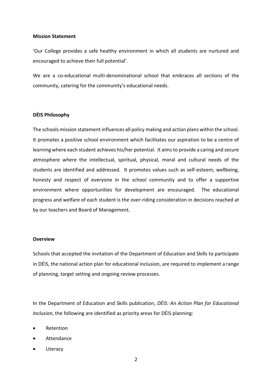#### **Mission Statement**

'Our College provides a safe healthy environment in which all students are nurtured and encouraged to achieve their full potential'.

We are a co-educational multi-denominational school that embraces all sections of the community, catering for the community's educational needs.

#### **DÉIS Philosophy**

The schools mission statement influences all policy making and action plans within the school. It promotes a positive school environment which facilitates our aspiration to be a centre of learning where each student achieves his/her potential. It aims to provide a caring and secure atmosphere where the intellectual, spiritual, physical, moral and cultural needs of the students are identified and addressed. It promotes values such as self-esteem, wellbeing, honesty and respect of everyone in the school community and to offer a supportive environment where opportunities for development are encouraged. The educational progress and welfare of each student is the over-riding consideration in decisions reached at by our teachers and Board of Management.

#### **Overview**

Schools that accepted the invitation of the Department of Education and Skills to participate in DÉIS, the national action plan for educational inclusion, are required to implement a range of planning, target setting and ongoing review processes.

In the Department of Education and Skills publication, *DÉIS: An Action Plan for Educational Inclusion*, the following are identified as priority areas for DÉIS planning:

- Retention
- Attendance
- **Literacy**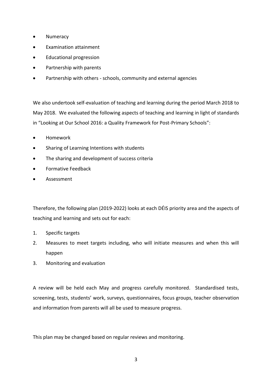- Numeracy
- Examination attainment
- Educational progression
- Partnership with parents
- Partnership with others schools, community and external agencies

We also undertook self-evaluation of teaching and learning during the period March 2018 to May 2018. We evaluated the following aspects of teaching and learning in light of standards in "Looking at Our School 2016: a Quality Framework for Post-Primary Schools":

- Homework
- Sharing of Learning Intentions with students
- The sharing and development of success criteria
- Formative Feedback
- Assessment

Therefore, the following plan (2019-2022) looks at each DÉIS priority area and the aspects of teaching and learning and sets out for each:

- 1. Specific targets
- 2. Measures to meet targets including, who will initiate measures and when this will happen
- 3. Monitoring and evaluation

A review will be held each May and progress carefully monitored. Standardised tests, screening, tests, students' work, surveys, questionnaires, focus groups, teacher observation and information from parents will all be used to measure progress.

This plan may be changed based on regular reviews and monitoring.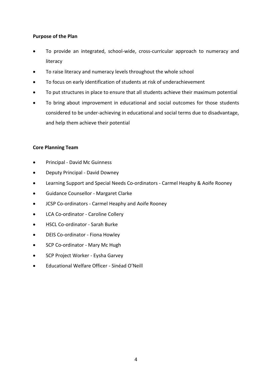#### **Purpose of the Plan**

- To provide an integrated, school-wide, cross-curricular approach to numeracy and literacy
- To raise literacy and numeracy levels throughout the whole school
- To focus on early identification of students at risk of underachievement
- To put structures in place to ensure that all students achieve their maximum potential
- To bring about improvement in educational and social outcomes for those students considered to be under-achieving in educational and social terms due to disadvantage, and help them achieve their potential

#### **Core Planning Team**

- Principal David Mc Guinness
- Deputy Principal David Downey
- Learning Support and Special Needs Co-ordinators Carmel Heaphy & Aoife Rooney
- Guidance Counsellor Margaret Clarke
- JCSP Co-ordinators Carmel Heaphy and Aoife Rooney
- LCA Co-ordinator Caroline Collery
- HSCL Co-ordinator Sarah Burke
- DEIS Co-ordinator Fiona Howley
- SCP Co-ordinator Mary Mc Hugh
- SCP Project Worker Eysha Garvey
- Educational Welfare Officer Sinéad O'Neill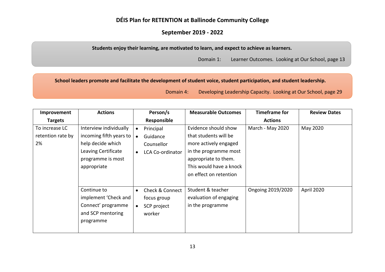# **DÉIS Plan for RETENTION at Ballinode Community College**

## **September 2019 - 2022**

**Students enjoy their learning, are motivated to learn, and expect to achieve as learners.**

Domain 1: Learner Outcomes. Looking at Our School, page 13

**School leaders promote and facilitate the development of student voice, student participation, and student leadership.**

Domain 4: Developing Leadership Capacity. Looking at Our School, page 29

| Improvement                               | <b>Actions</b>                                                                                                                    | Person/s                                                                                     | <b>Measurable Outcomes</b>                                                                                                                                                   | <b>Timeframe for</b> | <b>Review Dates</b> |
|-------------------------------------------|-----------------------------------------------------------------------------------------------------------------------------------|----------------------------------------------------------------------------------------------|------------------------------------------------------------------------------------------------------------------------------------------------------------------------------|----------------------|---------------------|
| <b>Targets</b>                            |                                                                                                                                   | Responsible                                                                                  |                                                                                                                                                                              | <b>Actions</b>       |                     |
| To increase LC<br>retention rate by<br>2% | Interview individually<br>incoming fifth years to<br>help decide which<br>Leaving Certificate<br>programme is most<br>appropriate | Principal<br>Guidance<br>$\bullet$<br>Counsellor<br><b>LCA Co-ordinator</b>                  | Evidence should show<br>that students will be<br>more actively engaged<br>in the programme most<br>appropriate to them.<br>This would have a knock<br>on effect on retention | March - May 2020     | May 2020            |
|                                           | Continue to<br>implement 'Check and<br>Connect' programme<br>and SCP mentoring<br>programme                                       | <b>Check &amp; Connect</b><br>$\bullet$<br>focus group<br>SCP project<br>$\bullet$<br>worker | Student & teacher<br>evaluation of engaging<br>in the programme                                                                                                              | Ongoing 2019/2020    | April 2020          |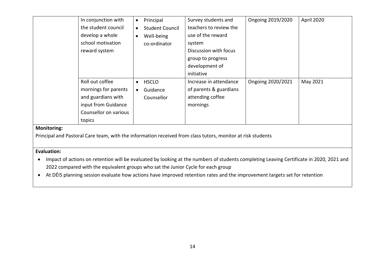|             | In conjunction with   | $\bullet$ | Principal              | Survey students and    | Ongoing 2019/2020 | April 2020 |
|-------------|-----------------------|-----------|------------------------|------------------------|-------------------|------------|
|             | the student council   | $\bullet$ | <b>Student Council</b> | teachers to review the |                   |            |
|             | develop a whole       | $\bullet$ | Well-being             | use of the reward      |                   |            |
|             | school motivation     |           | co-ordinator           | system                 |                   |            |
|             | reward system         |           |                        | Discussion with focus  |                   |            |
|             |                       |           |                        | group to progress      |                   |            |
|             |                       |           |                        | development of         |                   |            |
|             |                       |           |                        | initiative             |                   |            |
|             | Roll out coffee       | $\bullet$ | <b>HSCLO</b>           | Increase in attendance | Ongoing 2020/2021 | May 2021   |
|             | mornings for parents  | $\bullet$ | Guidance               | of parents & guardians |                   |            |
|             | and guardians with    |           | Counsellor             | attending coffee       |                   |            |
|             | input from Guidance   |           |                        | mornings               |                   |            |
|             | Counsellor on various |           |                        |                        |                   |            |
|             | topics                |           |                        |                        |                   |            |
| Monitoring: |                       |           |                        |                        |                   |            |

Principal and Pastoral Care team, with the information received from class tutors, monitor at risk students

#### **Evaluation:**

• Impact of actions on retention will be evaluated by looking at the numbers of students completing Leaving Certificate in 2020, 2021 and 2022 compared with the equivalent groups who sat the Junior Cycle for each group

• At DÉIS planning session evaluate how actions have improved retention rates and the improvement targets set for retention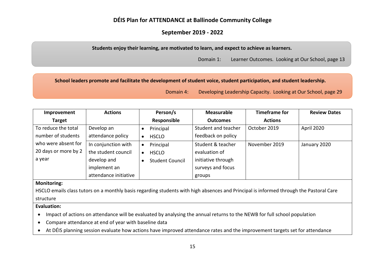# **DÉIS Plan for ATTENDANCE at Ballinode Community College**

## **September 2019 - 2022**

**Students enjoy their learning, are motivated to learn, and expect to achieve as learners.**

Domain 1: Learner Outcomes. Looking at Our School, page 13

#### **School leaders promote and facilitate the development of student voice, student participation, and student leadership.**

Domain 4: Developing Leadership Capacity. Looking at Our School, page 29

| Improvement          | <b>Actions</b>        | Person/s               | <b>Measurable</b>   | <b>Timeframe for</b> | <b>Review Dates</b> |
|----------------------|-----------------------|------------------------|---------------------|----------------------|---------------------|
| <b>Target</b>        |                       | Responsible            | <b>Outcomes</b>     | <b>Actions</b>       |                     |
| To reduce the total  | Develop an            | Principal              | Student and teacher | October 2019         | April 2020          |
| number of students   | attendance policy     | <b>HSCLO</b>           | feedback on policy  |                      |                     |
| who were absent for  | In conjunction with   | Principal              | Student & teacher   | November 2019        | January 2020        |
| 20 days or more by 2 | the student council   | <b>HSCLO</b>           | evaluation of       |                      |                     |
| a year               | develop and           | <b>Student Council</b> | initiative through  |                      |                     |
|                      | implement an          |                        | surveys and focus   |                      |                     |
|                      | attendance initiative |                        | groups              |                      |                     |

#### **Monitoring:**

HSCLO emails class tutors on a monthly basis regarding students with high absences and Principal is informed through the Pastoral Care structure

#### **Evaluation:**

• Impact of actions on attendance will be evaluated by analysing the annual returns to the NEWB for full school population

- Compare attendance at end of year with baseline data
- At DÉIS planning session evaluate how actions have improved attendance rates and the improvement targets set for attendance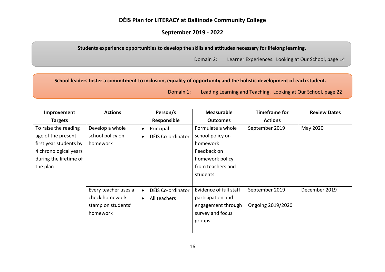## **DÉIS Plan for LITERACY at Ballinode Community College**

## **September 2019 - 2022**

**Students experience opportunities to develop the skills and attitudes necessary for lifelong learning.**

Domain 2: Learner Experiences. Looking at Our School, page 14

**School leaders foster a commitment to inclusion, equality of opportunity and the holistic development of each student.**

| Improvement            | <b>Actions</b>       |           | Person/s          | <b>Measurable</b>      | <b>Timeframe for</b> | <b>Review Dates</b> |
|------------------------|----------------------|-----------|-------------------|------------------------|----------------------|---------------------|
| <b>Targets</b>         |                      |           | Responsible       | <b>Outcomes</b>        | <b>Actions</b>       |                     |
| To raise the reading   | Develop a whole      | $\bullet$ | Principal         | Formulate a whole      | September 2019       | May 2020            |
| age of the present     | school policy on     | $\bullet$ | DÉIS Co-ordinator | school policy on       |                      |                     |
| first year students by | homework             |           |                   | homework               |                      |                     |
| 4 chronological years  |                      |           |                   | Feedback on            |                      |                     |
| during the lifetime of |                      |           |                   | homework policy        |                      |                     |
| the plan               |                      |           |                   | from teachers and      |                      |                     |
|                        |                      |           |                   | students               |                      |                     |
|                        |                      |           |                   |                        |                      |                     |
|                        | Every teacher uses a |           | DÉIS Co-ordinator | Evidence of full staff | September 2019       | December 2019       |
|                        | check homework       | $\bullet$ | All teachers      | participation and      |                      |                     |
|                        | stamp on students'   |           |                   | engagement through     | Ongoing 2019/2020    |                     |
|                        | homework             |           |                   | survey and focus       |                      |                     |
|                        |                      |           |                   | groups                 |                      |                     |
|                        |                      |           |                   |                        |                      |                     |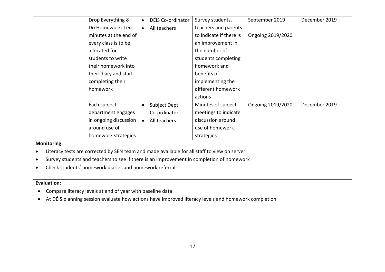|             | Drop Everything &     |           | DÉIS Co-ordinator | Survey students,        | September 2019    | December 2019 |
|-------------|-----------------------|-----------|-------------------|-------------------------|-------------------|---------------|
|             | Do Homework: Ten      |           | All teachers      | teachers and parents    |                   |               |
|             | minutes at the end of |           |                   | to indicate if there is | Ongoing 2019/2020 |               |
|             | every class is to be  |           |                   | an improvement in       |                   |               |
|             | allocated for         |           |                   | the number of           |                   |               |
|             | students to write     |           |                   | students completing     |                   |               |
|             | their homework into   |           |                   | homework and            |                   |               |
|             | their diary and start |           |                   | benefits of             |                   |               |
|             | completing their      |           |                   | implementing the        |                   |               |
|             | homework              |           |                   | different homework      |                   |               |
|             |                       |           |                   | actions                 |                   |               |
|             | Each subject          | $\bullet$ | Subject Dept      | Minutes of subject      | Ongoing 2019/2020 | December 2019 |
|             | department engages    |           | Co-ordinator      | meetings to indicate    |                   |               |
|             | in ongoing discussion |           | All teachers      | discussion around       |                   |               |
|             | around use of         |           |                   | use of homework         |                   |               |
|             | homework strategies   |           |                   | strategies              |                   |               |
| Monitoring. |                       |           |                   |                         |                   |               |

• Literacy tests are corrected by SEN team and made available for all staff to view on server

• Survey students and teachers to see if there is an improvement in completion of homework

• Check students' homework diaries and homework referrals

**Evaluation:**

- Compare literacy levels at end of year with baseline data
- At DÉIS planning session evaluate how actions have improved literacy levels and homework completion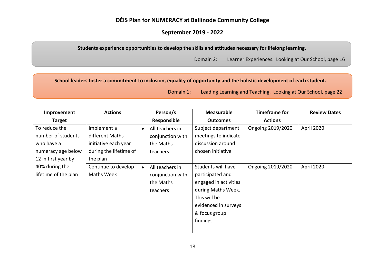## **DÉIS Plan for NUMERACY at Ballinode Community College**

## **September 2019 - 2022**

**Students experience opportunities to develop the skills and attitudes necessary for lifelong learning.**

Domain 2: Learner Experiences. Looking at Our School, page 16

**School leaders foster a commitment to inclusion, equality of opportunity and the holistic development of each student.**

| Improvement          | <b>Actions</b>         | Person/s         | <b>Measurable</b>     | <b>Timeframe for</b> | <b>Review Dates</b> |
|----------------------|------------------------|------------------|-----------------------|----------------------|---------------------|
| <b>Target</b>        |                        | Responsible      | <b>Outcomes</b>       | <b>Actions</b>       |                     |
| To reduce the        | Implement a            | All teachers in  | Subject department    | Ongoing 2019/2020    | April 2020          |
| number of students   | different Maths        | conjunction with | meetings to indicate  |                      |                     |
| who have a           | initiative each year   | the Maths        | discussion around     |                      |                     |
| numeracy age below   | during the lifetime of | teachers         | chosen initiative     |                      |                     |
| 12 in first year by  | the plan               |                  |                       |                      |                     |
| 40% during the       | Continue to develop    | All teachers in  | Students will have    | Ongoing 2019/2020    | April 2020          |
| lifetime of the plan | Maths Week             | conjunction with | participated and      |                      |                     |
|                      |                        | the Maths        | engaged in activities |                      |                     |
|                      |                        | teachers         | during Maths Week.    |                      |                     |
|                      |                        |                  | This will be          |                      |                     |
|                      |                        |                  | evidenced in surveys  |                      |                     |
|                      |                        |                  | & focus group         |                      |                     |
|                      |                        |                  | findings              |                      |                     |
|                      |                        |                  |                       |                      |                     |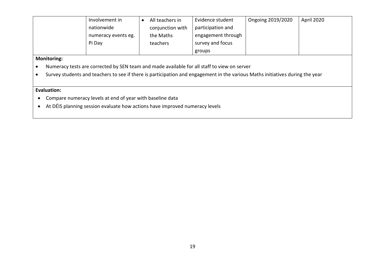| Involvement in      | All teachers in  | Evidence student   | Ongoing 2019/2020 | April 2020 |
|---------------------|------------------|--------------------|-------------------|------------|
| nationwide          | conjunction with | participation and  |                   |            |
| numeracy events eg. | the Maths        | engagement through |                   |            |
| Pi Day              | teachers         | survey and focus   |                   |            |
|                     |                  | groups             |                   |            |

- Numeracy tests are corrected by SEN team and made available for all staff to view on server
- Survey students and teachers to see if there is participation and engagement in the various Maths initiatives during the year

#### **Evaluation:**

- Compare numeracy levels at end of year with baseline data
- At DÉIS planning session evaluate how actions have improved numeracy levels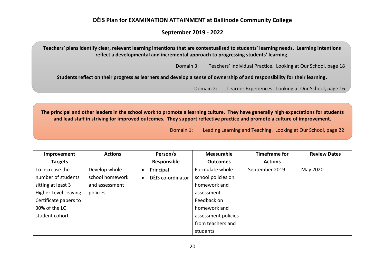## **DÉIS Plan for EXAMINATION ATTAINMENT at Ballinode Community College**

### **September 2019 - 2022**

**Teachers' plans identify clear, relevant learning intentions that are contextualised to students' learning needs. Learning intentions reflect a developmental and incremental approach to progressing students' learning.**

Domain 3: Teachers' Individual Practice. Looking at Our School, page 18

**Students reflect on their progress as learners and develop a sense of ownership of and responsibility for their learning.**

Domain 2: Learner Experiences. Looking at Our School, page 16

**The principal and other leaders in the school work to promote a learning culture. They have generally high expectations for students and lead staff in striving for improved outcomes. They support reflective practice and promote a culture of improvement.**

| Improvement           | <b>Actions</b>  | Person/s          | <b>Measurable</b>   | <b>Timeframe for</b> | <b>Review Dates</b> |
|-----------------------|-----------------|-------------------|---------------------|----------------------|---------------------|
| <b>Targets</b>        |                 | Responsible       | <b>Outcomes</b>     | <b>Actions</b>       |                     |
| To increase the       | Develop whole   | Principal         | Formulate whole     | September 2019       | May 2020            |
| number of students    | school homework | DÉIS co-ordinator | school policies on  |                      |                     |
| sitting at least 3    | and assessment  |                   | homework and        |                      |                     |
| Higher Level Leaving  | policies        |                   | assessment          |                      |                     |
| Certificate papers to |                 |                   | Feedback on         |                      |                     |
| 30% of the LC         |                 |                   | homework and        |                      |                     |
| student cohort        |                 |                   | assessment policies |                      |                     |
|                       |                 |                   | from teachers and   |                      |                     |
|                       |                 |                   | students            |                      |                     |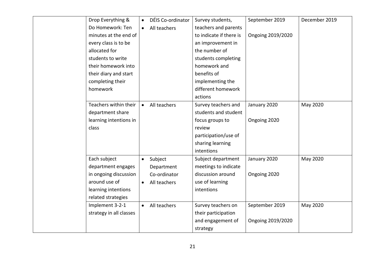| Drop Everything &       | $\bullet$ | DÉIS Co-ordinator | Survey students,        | September 2019    | December 2019 |
|-------------------------|-----------|-------------------|-------------------------|-------------------|---------------|
| Do Homework: Ten        |           | All teachers      | teachers and parents    |                   |               |
| minutes at the end of   |           |                   | to indicate if there is | Ongoing 2019/2020 |               |
| every class is to be    |           |                   | an improvement in       |                   |               |
| allocated for           |           |                   | the number of           |                   |               |
| students to write       |           |                   | students completing     |                   |               |
| their homework into     |           |                   | homework and            |                   |               |
| their diary and start   |           |                   | benefits of             |                   |               |
| completing their        |           |                   | implementing the        |                   |               |
| homework                |           |                   | different homework      |                   |               |
|                         |           |                   | actions                 |                   |               |
| Teachers within their   | $\bullet$ | All teachers      | Survey teachers and     | January 2020      | May 2020      |
| department share        |           |                   | students and student    |                   |               |
| learning intentions in  |           |                   | focus groups to         | Ongoing 2020      |               |
| class                   |           |                   | review                  |                   |               |
|                         |           |                   | participation/use of    |                   |               |
|                         |           |                   | sharing learning        |                   |               |
|                         |           |                   | intentions              |                   |               |
| Each subject            | $\bullet$ | Subject           | Subject department      | January 2020      | May 2020      |
| department engages      |           | Department        | meetings to indicate    |                   |               |
| in ongoing discussion   |           | Co-ordinator      | discussion around       | Ongoing 2020      |               |
| around use of           | $\bullet$ | All teachers      | use of learning         |                   |               |
| learning intentions     |           |                   | intentions              |                   |               |
| related strategies      |           |                   |                         |                   |               |
| Implement 3-2-1         | $\bullet$ | All teachers      | Survey teachers on      | September 2019    | May 2020      |
| strategy in all classes |           |                   | their participation     |                   |               |
|                         |           |                   | and engagement of       | Ongoing 2019/2020 |               |
|                         |           |                   | strategy                |                   |               |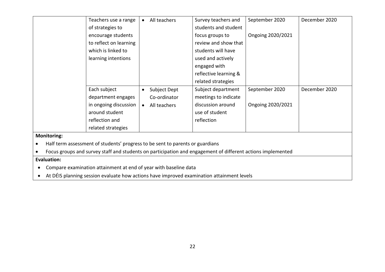|           |                    | Teachers use a range                                                                                        | $\bullet$ | All teachers | Survey teachers and   | September 2020    | December 2020 |
|-----------|--------------------|-------------------------------------------------------------------------------------------------------------|-----------|--------------|-----------------------|-------------------|---------------|
|           |                    | of strategies to                                                                                            |           |              | students and student  |                   |               |
|           |                    | encourage students                                                                                          |           |              | focus groups to       | Ongoing 2020/2021 |               |
|           |                    | to reflect on learning                                                                                      |           |              | review and show that  |                   |               |
|           |                    | which is linked to                                                                                          |           |              | students will have    |                   |               |
|           |                    | learning intentions                                                                                         |           |              | used and actively     |                   |               |
|           |                    |                                                                                                             |           |              | engaged with          |                   |               |
|           |                    |                                                                                                             |           |              | reflective learning & |                   |               |
|           |                    |                                                                                                             |           |              | related strategies    |                   |               |
|           |                    | Each subject                                                                                                | $\bullet$ | Subject Dept | Subject department    | September 2020    | December 2020 |
|           |                    | department engages                                                                                          |           | Co-ordinator | meetings to indicate  |                   |               |
|           |                    | in ongoing discussion                                                                                       | $\bullet$ | All teachers | discussion around     | Ongoing 2020/2021 |               |
|           |                    | around student                                                                                              |           |              | use of student        |                   |               |
|           |                    | reflection and                                                                                              |           |              | reflection            |                   |               |
|           |                    | related strategies                                                                                          |           |              |                       |                   |               |
|           | <b>Monitoring:</b> |                                                                                                             |           |              |                       |                   |               |
| $\bullet$ |                    | Half term assessment of students' progress to be sent to parents or guardians                               |           |              |                       |                   |               |
|           |                    | Focus groups and survey staff and students on participation and engagement of different actions implemented |           |              |                       |                   |               |
|           | Evaluation:        |                                                                                                             |           |              |                       |                   |               |

- Compare examination attainment at end of year with baseline data
- At DÉIS planning session evaluate how actions have improved examination attainment levels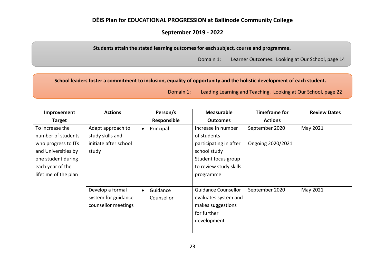# **DÉIS Plan for EDUCATIONAL PROGRESSION at Ballinode Community College**

## **September 2019 - 2022**

**Students attain the stated learning outcomes for each subject, course and programme.**

Domain 1: Learner Outcomes. Looking at Our School, page 14

**School leaders foster a commitment to inclusion, equality of opportunity and the holistic development of each student.**

| Improvement          | <b>Actions</b>        | Person/s    | <b>Measurable</b>          | <b>Timeframe for</b> | <b>Review Dates</b> |
|----------------------|-----------------------|-------------|----------------------------|----------------------|---------------------|
| <b>Target</b>        |                       | Responsible | <b>Outcomes</b>            | <b>Actions</b>       |                     |
| To increase the      | Adapt approach to     | Principal   | Increase in number         | September 2020       | May 2021            |
| number of students   | study skills and      |             | of students                |                      |                     |
| who progress to ITs  | initiate after school |             | participating in after     | Ongoing 2020/2021    |                     |
| and Universities by  | study                 |             | school study               |                      |                     |
| one student during   |                       |             | Student focus group        |                      |                     |
| each year of the     |                       |             | to review study skills     |                      |                     |
| lifetime of the plan |                       |             | programme                  |                      |                     |
|                      |                       |             |                            |                      |                     |
|                      | Develop a formal      | Guidance    | <b>Guidance Counsellor</b> | September 2020       | May 2021            |
|                      | system for guidance   | Counsellor  | evaluates system and       |                      |                     |
|                      | counsellor meetings   |             | makes suggestions          |                      |                     |
|                      |                       |             | for further                |                      |                     |
|                      |                       |             | development                |                      |                     |
|                      |                       |             |                            |                      |                     |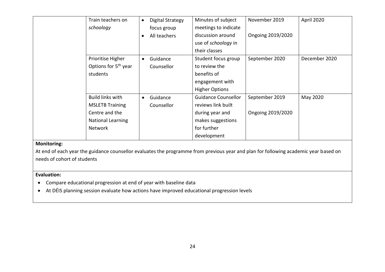| Train teachers on                | $\bullet$ | <b>Digital Strategy</b> | Minutes of subject         | November 2019     | April 2020    |
|----------------------------------|-----------|-------------------------|----------------------------|-------------------|---------------|
| schoology                        |           | focus group             | meetings to indicate       |                   |               |
|                                  | $\bullet$ | All teachers            | discussion around          | Ongoing 2019/2020 |               |
|                                  |           |                         | use of <i>schoology</i> in |                   |               |
|                                  |           |                         | their classes              |                   |               |
| Prioritise Higher                | $\bullet$ | Guidance                | Student focus group        | September 2020    | December 2020 |
| Options for 5 <sup>th</sup> year |           | Counsellor              | to review the              |                   |               |
| students                         |           |                         | benefits of                |                   |               |
|                                  |           |                         | engagement with            |                   |               |
|                                  |           |                         | <b>Higher Options</b>      |                   |               |
| <b>Build links with</b>          | $\bullet$ | Guidance                | <b>Guidance Counsellor</b> | September 2019    | May 2020      |
| <b>MSLETB Training</b>           |           | Counsellor              | reviews link built         |                   |               |
| Centre and the                   |           |                         | during year and            | Ongoing 2019/2020 |               |
| <b>National Learning</b>         |           |                         | makes suggestions          |                   |               |
| <b>Network</b>                   |           |                         | for further                |                   |               |
|                                  |           |                         | development                |                   |               |

At end of each year the guidance counsellor evaluates the programme from previous year and plan for following academic year based on needs of cohort of students

#### **Evaluation:**

- Compare educational progression at end of year with baseline data
- At DÉIS planning session evaluate how actions have improved educational progression levels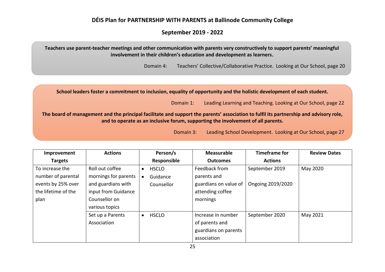# **DÉIS Plan for PARTNERSHIP WITH PARENTS at Ballinode Community College**

# **September 2019 - 2022**

**Teachers use parent-teacher meetings and other communication with parents very constructively to support parents' meaningful involvement in their children's education and development as learners.**

Domain 4: Teachers' Collective/Collaborative Practice. Looking at Our School, page 20

**School leaders foster a commitment to inclusion, equality of opportunity and the holistic development of each student.**

Domain 1: Leading Learning and Teaching. Looking at Our School, page 22

**The board of management and the principal facilitate and support the parents' association to fulfil its partnership and advisory role, and to operate as an inclusive forum, supporting the involvement of all parents.**

Domain 3: Leading School Development. Looking at Our School, page 27

| Improvement         | <b>Actions</b>       |           | Person/s     | <b>Measurable</b>     | <b>Timeframe for</b> | <b>Review Dates</b> |
|---------------------|----------------------|-----------|--------------|-----------------------|----------------------|---------------------|
| <b>Targets</b>      |                      |           | Responsible  | <b>Outcomes</b>       | <b>Actions</b>       |                     |
| To increase the     | Roll out coffee      | $\bullet$ | <b>HSCLO</b> | Feedback from         | September 2019       | May 2020            |
| number of parental  | mornings for parents |           | Guidance     | parents and           |                      |                     |
| events by 25% over  | and guardians with   |           | Counsellor   | guardians on value of | Ongoing 2019/2020    |                     |
| the lifetime of the | input from Guidance  |           |              | attending coffee      |                      |                     |
| plan                | Counsellor on        |           |              | mornings              |                      |                     |
|                     | various topics       |           |              |                       |                      |                     |
|                     | Set up a Parents     | $\bullet$ | <b>HSCLO</b> | Increase in number    | September 2020       | May 2021            |
|                     | Association          |           |              | of parents and        |                      |                     |
|                     |                      |           |              | guardians on parents  |                      |                     |
|                     |                      |           |              | association           |                      |                     |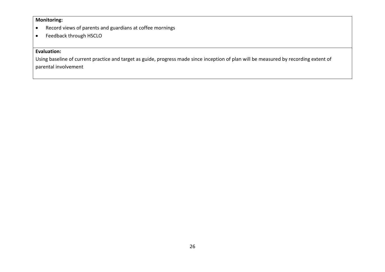- Record views of parents and guardians at coffee mornings
- Feedback through HSCLO

## **Evaluation:**

Using baseline of current practice and target as guide, progress made since inception of plan will be measured by recording extent of parental involvement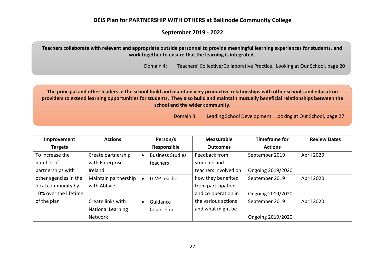## **DÉIS Plan for PARTNERSHIP WITH OTHERS at Ballinode Community College**

## **September 2019 - 2022**

**Teachers collaborate with relevant and appropriate outside personnel to provide meaningful learning experiences for students, and work together to ensure that the learning is integrated.**

Domain 4: Teachers' Collective/Collaborative Practice. Looking at Our School, page 20

**The principal and other leaders in the school build and maintain very productive relationships with other schools and education providers to extend learning opportunities for students. They also build and maintain mutually beneficial relationships between the school and the wider community.**

Domain 3: Leading School Development. Looking at Our School, page 27

| Improvement           | <b>Actions</b>           |           | Person/s                | <b>Measurable</b>    | <b>Timeframe for</b> | <b>Review Dates</b> |
|-----------------------|--------------------------|-----------|-------------------------|----------------------|----------------------|---------------------|
| <b>Targets</b>        |                          |           | Responsible             | <b>Outcomes</b>      | <b>Actions</b>       |                     |
| To increase the       | Create partnership       |           | <b>Business Studies</b> | Feedback from        | September 2019       | April 2020          |
| number of             | with Enterprise          |           | teachers                | students and         |                      |                     |
| partnerships with     | Ireland                  |           |                         | teachers involved on | Ongoing 2019/2020    |                     |
| other agencies in the | Maintain partnership     |           | LCVP teacher            | how they benefited   | September 2019       | April 2020          |
| local community by    | with Abbvie              |           |                         | from participation   |                      |                     |
| 10% over the lifetime |                          |           |                         | and co-operation in  | Ongoing 2019/2020    |                     |
| of the plan           | Create links with        | $\bullet$ | Guidance                | the various actions  | September 2019       | April 2020          |
|                       | <b>National Learning</b> |           | Counsellor              | and what might be    |                      |                     |
|                       | <b>Network</b>           |           |                         |                      | Ongoing 2019/2020    |                     |